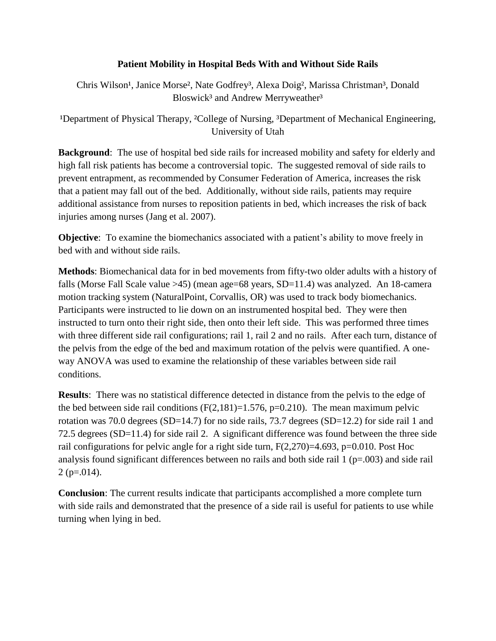## **Patient Mobility in Hospital Beds With and Without Side Rails**

Chris Wilson<sup>1</sup>, Janice Morse<sup>2</sup>, Nate Godfrey<sup>3</sup>, Alexa Doig<sup>2</sup>, Marissa Christman<sup>3</sup>, Donald Bloswick<sup>3</sup> and Andrew Merryweather<sup>3</sup>

<sup>1</sup>Department of Physical Therapy, <sup>2</sup>College of Nursing, <sup>3</sup>Department of Mechanical Engineering, University of Utah

**Background**: The use of hospital bed side rails for increased mobility and safety for elderly and high fall risk patients has become a controversial topic. The suggested removal of side rails to prevent entrapment, as recommended by Consumer Federation of America, increases the risk that a patient may fall out of the bed. Additionally, without side rails, patients may require additional assistance from nurses to reposition patients in bed, which increases the risk of back injuries among nurses (Jang et al. 2007).

**Objective**: To examine the biomechanics associated with a patient's ability to move freely in bed with and without side rails.

**Methods**: Biomechanical data for in bed movements from fifty-two older adults with a history of falls (Morse Fall Scale value >45) (mean age=68 years, SD=11.4) was analyzed. An 18-camera motion tracking system (NaturalPoint, Corvallis, OR) was used to track body biomechanics. Participants were instructed to lie down on an instrumented hospital bed. They were then instructed to turn onto their right side, then onto their left side. This was performed three times with three different side rail configurations; rail 1, rail 2 and no rails. After each turn, distance of the pelvis from the edge of the bed and maximum rotation of the pelvis were quantified. A oneway ANOVA was used to examine the relationship of these variables between side rail conditions.

**Results**: There was no statistical difference detected in distance from the pelvis to the edge of the bed between side rail conditions  $(F(2,181)=1.576, p=0.210)$ . The mean maximum pelvic rotation was 70.0 degrees (SD=14.7) for no side rails, 73.7 degrees (SD=12.2) for side rail 1 and 72.5 degrees (SD=11.4) for side rail 2. A significant difference was found between the three side rail configurations for pelvic angle for a right side turn, F(2,270)=4.693, p=0.010. Post Hoc analysis found significant differences between no rails and both side rail  $1 (p=.003)$  and side rail  $2$  (p=.014).

**Conclusion**: The current results indicate that participants accomplished a more complete turn with side rails and demonstrated that the presence of a side rail is useful for patients to use while turning when lying in bed.